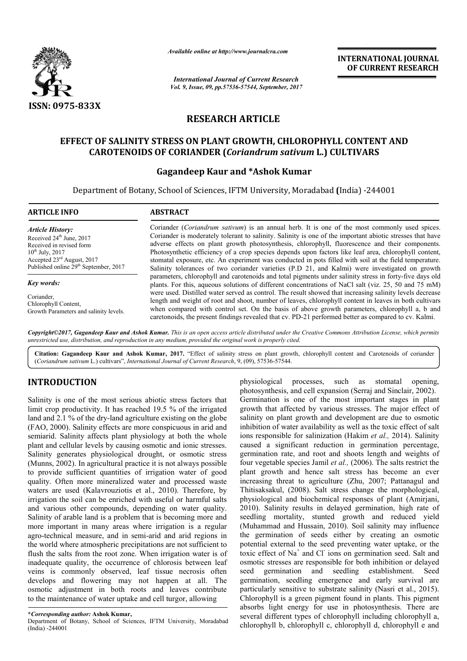

*Available online at http://www.journalcra.com*

*International Journal of Current Research Vol. 9, Issue, 09, pp.57536-57544, September, 2017* **INTERNATIONAL JOURNAL OF CURRENT RESEARCH**

# **RESEARCH ARTICLE**

# **EFFECT OF SALINITY STRESS ON PLANT GROWTH, CHLOROPHYLL CONTENT AND CAROTENOIDS OF CORIANDER (** *Coriandrum sativum* **L.) CULTIVARS OF SALINITY CONTENT L.) CULTIVARS**

## **Gagandeep Kaur and \*Ashok Kumar**

Department of Botany, School of Sciences, IFTM University, Moradabad (India) -244001

| <b>ARTICLE INFO</b>                                                                                                                                                                                      | <b>ABSTRACT</b>                                                                                                                                                                                                                                                                                                                                                                                                                                                                                                                                                                                                                                                                                                                                                                                                                                                                                                                                                                                                                                                                                                                                                                                                                                                                               |
|----------------------------------------------------------------------------------------------------------------------------------------------------------------------------------------------------------|-----------------------------------------------------------------------------------------------------------------------------------------------------------------------------------------------------------------------------------------------------------------------------------------------------------------------------------------------------------------------------------------------------------------------------------------------------------------------------------------------------------------------------------------------------------------------------------------------------------------------------------------------------------------------------------------------------------------------------------------------------------------------------------------------------------------------------------------------------------------------------------------------------------------------------------------------------------------------------------------------------------------------------------------------------------------------------------------------------------------------------------------------------------------------------------------------------------------------------------------------------------------------------------------------|
| <b>Article History:</b><br>Received $24th$ June, 2017<br>Received in revised form<br>$10^{th}$ July, 2017<br>Accepted 23 <sup>rd</sup> August, 2017<br>Published online 29 <sup>th</sup> September, 2017 | Coriander ( <i>Coriandrum sativum</i> ) is an annual herb. It is one of the most commonly used spices.<br>Coriander is moderately tolerant to salinity. Salinity is one of the important abiotic stresses that have<br>adverse effects on plant growth photosynthesis, chlorophyll, fluorescence and their components.<br>Photosynthetic efficiency of a crop species depends upon factors like leaf area, chlorophyll content,<br>stomatal exposure, etc. An experiment was conducted in pots filled with soil at the field temperature.<br>Salinity tolerances of two coriander varieties (P.D 21, and Kalmi) were investigated on growth<br>parameters, chlorophyll and carotenoids and total pigments under salinity stress in forty-five days old<br>plants. For this, aqueous solutions of different concentrations of NaCl salt (viz. 25, 50 and 75 mM)<br>were used. Distilled water served as control. The result showed that increasing salinity levels decrease<br>length and weight of root and shoot, number of leaves, chlorophyll content in leaves in both cultivars<br>when compared with control set. On the basis of above growth parameters, chlorophyll a, b and<br>caretonoids, the present findings revealed that cv. PD-21 performed better as compared to cv. Kalmi. |
| Key words:                                                                                                                                                                                               |                                                                                                                                                                                                                                                                                                                                                                                                                                                                                                                                                                                                                                                                                                                                                                                                                                                                                                                                                                                                                                                                                                                                                                                                                                                                                               |
| Coriander,<br>Chlorophyll Content,<br>Growth Parameters and salinity levels.                                                                                                                             |                                                                                                                                                                                                                                                                                                                                                                                                                                                                                                                                                                                                                                                                                                                                                                                                                                                                                                                                                                                                                                                                                                                                                                                                                                                                                               |

Copyright©2017, Gagandeep Kaur and Ashok Kumar. This is an open access article distributed under the Creative Commons Attribution License, which permits unrestricted use, distribution, and reproduction in any medium, provided the original work is properly cited.

Citation: Gagandeep Kaur and Ashok Kumar, 2017. "Effect of salinity stress on plant growth, chlorophyll content and Carotenoids of coriander (*Coriandrum sativum* L.) cultivars", *International Journal of Current Research* , 9, (09), 57536-57544.

# **INTRODUCTION**

Salinity is one of the most serious abiotic stress factors that limit crop productivity. It has reached 19.5 % of the irrigated land and 2.1 % of the dry-land agriculture existing on the globe land and 2.1 % of the dry-land agriculture existing on the globe (FAO, 2000). Salinity effects are more conspicuous in arid and semiarid. Salinity affects plant physiology at both the whole plant and cellular levels by causing osmotic and ionic stresses. Salinity generates physiological drought, or osmotic stress (Munns, 2002). In agricultural practice it is not always possible to provide sufficient quantities of irrigation water of good quality. Often more mineralized water and processed waste waters are used (Kalavrouziotis et al., 2010). Therefore, by irrigation the soil can be enriched with useful or harmful salts and various other compounds, depending on water quality. Salinity of arable land is a problem that is becoming more and more important in many areas where irrigation is a regular agro-technical measure, and in semi-arid and arid regions in the world where atmospheric precipitations are not sufficient to flush the salts from the root zone. When irrigation water is of inadequate quality, the occurrence of chlorosis between leaf veins is commonly observed, leaf tissue necrosis often develops and flowering may not happen at all. The osmotic adjustment in both roots and leaves contribute to the maintenance of water uptake and cell turgor, allowing

Department of Botany, School of Sciences, IFTM University, Moradabad (India) -244001

physiological processes, such as stomatal opening,<br>photogynthesis, and cell expansion (Serraj and Simolaria; 2002).<br>Distinguised is an cell expansion (Seraj and Simolaria; 2002).<br>In 19.5 % of the irrigated growth that affe photosynthesis, and cell expansion (Serraj and Sinclair, 2002). Germination is one of the most important stages in plant growth that affected by various stresses. The major effect of salinity on plant growth and development are due to osmotic inhibition of water availability as well as the toxic effect of salt ions responsible for salinization (Hakim et al., 2014). Salinity caused a significant reduction in germination percentage, caused a significant reduction in germination percentage, germination rate, and root and shoots length and weights of four vegetable species Jamil *et al.,* (2006). The salts restrict the plant growth and hence salt stress has become an ever increasing threat to agriculture (Zhu, 2007; Pattanagul and Thitisaksakul, (2008). Salt stress change the morphological, physiological and biochemical responses of plant (Amirjani, 2010). Salinity results in delayed germination, high rate of seedling mortality, stunted growth and reduced yield (Muhammad and Hussain, 2010). Soil salinity may influence the germination of seeds either by creating an osmotic potential external to the seed preventing water uptake, or the toxic effect of Na<sup>+</sup> and Cl<sup>-</sup> ions on germination seed. Salt and osmotic stresses are responsible for both inhibition or delayed seed germination and seedling establishment. Seed germination, seedling emergence and early survival are particularly sensitive to substrate salinity (Nasri et al., 2015). Chlorophyll is a green pigment found in plants. This pigment absorbs light energy for use in photosynthesis. There are several different types of chlorophyll including chlorophyll a, chlorophyll b, chlorophyll c, chlorophyll d, chlorophyll e and physiological processes, such as stomatal opening, photosynthesis, and cell expansion (Serraj and Sinclair, 2002). Germination is one of the most important stages in plant growth that affected by various stresses. The majo plant growth and hence salt stress has become an ever increasing threat to agriculture (Zhu, 2007; Pattanagul and Thitisaksakul, (2008). Salt stress change the morphological, physiological and biochemical responses of plan growth reduced and the uptake in the uptake of the uptake of  $\sigma$  and  $\sigma$  and  $\sigma$  and  $\sigma$  and  $\sigma$  and  $\sigma$  and  $\sigma$  and  $\sigma$  and  $\sigma$  and  $\sigma$  and  $\sigma$  and  $\sigma$  and  $\sigma$  and  $\sigma$  and  $\sigma$  and  $\sigma$  and  $\sigma$  and  $\sigma$  an

**<sup>\*</sup>***Corresponding author:* **Ashok Kumar,**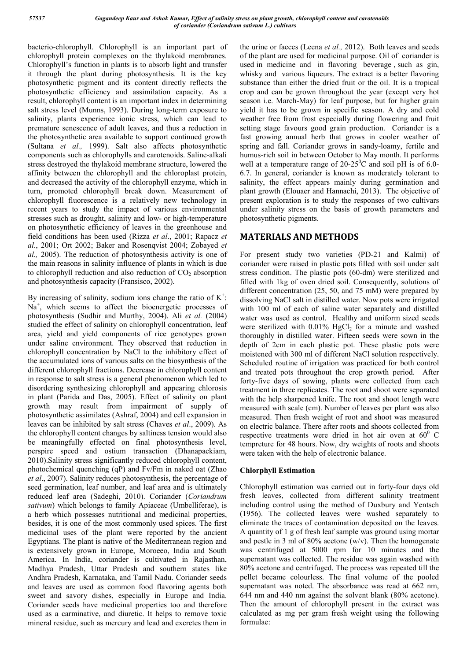bacterio-chlorophyll. Chlorophyll is an important part of chlorophyll protein complexes on the thylakoid membranes. Chlorophyll's function in plants is to absorb light and transfer it through the plant during photosynthesis. It is the key photosynthetic pigment and its content directly reflects the photosynthetic efficiency and assimilation capacity. As a result, chlorophyll content is an important index in determining salt stress level (Munns, 1993). During long-term exposure to salinity, plants experience ionic stress, which can lead to premature senescence of adult leaves, and thus a reduction in the photosynthetic area available to support continued growth (Sultana *et al.,* 1999). Salt also affects photosynthetic components such as chlorophylls and carotenoids. Saline-alkali stress destroyed the thylakoid membrane structure, lowered the affinity between the chlorophyll and the chloroplast protein, and decreased the activity of the chlorophyll enzyme, which in turn, promoted chlorophyll break down. Measurement of chlorophyll fluorescence is a relatively new technology in recent years to study the impact of various environmental stresses such as drought, salinity and low- or high-temperature on photosynthetic efficiency of leaves in the greenhouse and field conditions has been used (Rizza *et al*., 2001; Rapacz *et al*., 2001; Ort 2002; Baker and Rosenqvist 2004; Zobayed *et al.,* 2005). The reduction of photosynthesis activity is one of the main reasons in salinity influence of plants in which is due to chlorophyll reduction and also reduction of  $CO<sub>2</sub>$  absorption and photosynthesis capacity (Fransisco, 2002).

By increasing of salinity, sodium ions change the ratio of  $K^+$ : Na<sup>+</sup>, which seems to affect the bioenergetic processes of photosynthesis (Sudhir and Murthy, 2004). Ali *et al.* (2004) studied the effect of salinity on chlorophyll concentration, leaf area, yield and yield components of rice genotypes grown under saline environment. They observed that reduction in chlorophyll concentration by NaCl to the inhibitory effect of the accumulated ions of various salts on the biosynthesis of the different chlorophyll fractions. Decrease in chlorophyll content in response to salt stress is a general phenomenon which led to disordering synthesizing chlorophyll and appearing chlorosis in plant (Parida and Das, 2005). Effect of salinity on plant growth may result from impairment of supply of photosynthetic assimilates (Ashraf, 2004) and cell expansion in leaves can be inhibited by salt stress (Chaves *et al*., 2009). As the chlorophyll content changes by saltiness tension would also be meaningfully effected on final photosynthesis level, perspire speed and ostium transaction (Dhanapackiam, 2010).Salinity stress significantly reduced chlorophyll content, photochemical quenching (qP) and Fv/Fm in naked oat (Zhao *et al*., 2007). Salinity reduces photosynthesis, the percentage of seed germination, leaf number, and leaf area and is ultimately reduced leaf area (Sadeghi, 2010). Coriander (*Coriandrum sativum*) which belongs to family Apiaceae (Umbelliferae), is a herb which possesses nutritional and medicinal properties, besides, it is one of the most commonly used spices. The first medicinal uses of the plant were reported by the ancient Egyptians. The plant is native of the Mediterranean region and is extensively grown in Europe, Moroeeo, India and South America. In India, coriander is cultivated in Rajasthan, Madhya Pradesh, Uttar Pradesh and southern states like Andhra Pradesh, Karnataka, and Tamil Nadu. Coriander seeds and leaves are used as common food flavoring agents both sweet and savory dishes, especially in Europe and India. Coriander seeds have medicinal properties too and therefore used as a carminative, and diuretic. It helps to remove toxic mineral residue, such as mercury and lead and excretes them in

the urine or faeces (Leena *et al.,* 2012). Both leaves and seeds of the plant are used for medicinal purpose. Oil of coriander is used in medicine and in flavoring beverage , such as gin, whisky and various liqueurs. The extract is a better flavoring substance than either the dried fruit or the oil. It is a tropical crop and can be grown throughout the year (except very hot season i.e. March-May) for leaf purpose, but for higher grain yield it has to be grown in specific season. A dry and cold weather free from frost especially during flowering and fruit setting stage favours good grain production. Coriander is a fast growing annual herb that grows in cooler weather of spring and fall. Coriander grows in sandy-loamy, fertile and humus-rich soil in between October to May month. It performs well at a temperature range of  $20\n-25^{\circ}\text{C}$  and soil pH is of 6.0-6.7. In general, coriander is known as moderately tolerant to salinity, the effect appears mainly during germination and plant growth (Elouaer and Hannachi, 2013). The objective of present exploration is to study the responses of two cultivars under salinity stress on the basis of growth parameters and photosynthetic pigments.

# **MATERIALS AND METHODS**

For present study two varieties (PD-21 and Kalmi) of coriander were raised in plastic pots filled with soil under salt stress condition. The plastic pots (60-dm) were sterilized and filled with 1kg of oven dried soil. Consequently, solutions of different concentration (25, 50, and 75 mM) were prepared by dissolving NaCl salt in distilled water. Now pots were irrigated with 100 ml of each of saline water separately and distilled water was used as control. Healthy and uniform sized seeds were sterilized with  $0.01\%$  HgCl<sub>2</sub> for a minute and washed thoroughly in distilled water. Fifteen seeds were sown in the depth of 2cm in each plastic pot. These plastic pots were moistened with 300 ml of different NaCl solution respectively. Scheduled routine of irrigation was practiced for both control and treated pots throughout the crop growth period. After forty-five days of sowing, plants were collected from each treatment in three replicates. The root and shoot were separated with the help sharpened knife. The root and shoot length were measured with scale (cm). Number of leaves per plant was also measured. Then fresh weight of root and shoot was measured on electric balance. There after roots and shoots collected from respective treatments were dried in hot air oven at  $60^{\circ}$  C tempreture for 48 hours. Now, dry weights of roots and shoots were taken with the help of electronic balance.

## **Chlorphyll Estimation**

Chlorophyll estimation was carried out in forty-four days old fresh leaves, collected from different salinity treatment including control using the method of Duxbury and Yentsch (1956). The collected leaves were washed separately to eliminate the traces of contamination deposited on the leaves. A quantity of 1 g of fresh leaf sample was ground using mortar and pestle in 3 ml of 80% acetone (w/v). Then the homogenate was centrifuged at 5000 rpm for 10 minutes and the supernatant was collected. The residue was again washed with 80% acetone and centrifuged. The process was repeated till the pellet became colourless. The final volume of the pooled supernatant was noted. The absorbance was read at 662 nm, 644 nm and 440 nm against the solvent blank (80% acetone). Then the amount of chlorophyll present in the extract was calculated as mg per gram fresh weight using the following formulae: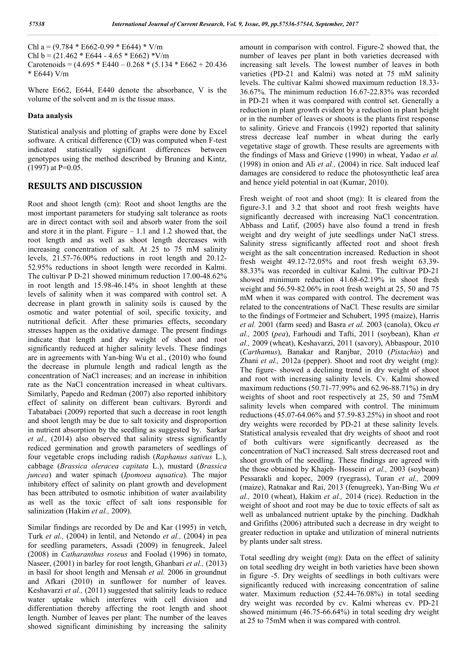Chl a =  $(9.784 * E662 - 0.99 * E644) * V/m$ Chl b =  $(21.462 * E644 - 4.65 * E662) * V/m$ Carotenoids =  $(4.695 * E440 - 0.268 * (5.134 * E662 + 20.436$ \* E644) V/m

Where E662, E644, E440 denote the absorbance, V is the volume of the solvent and m is the tissue mass.

#### **Data analysis**

Statistical analysis and plotting of graphs were done by Excel software. A critical difference (CD) was computed when F-test indicated statistically significant differences between genotypes using the method described by Bruning and Kintz,  $(1997)$  at P=0.05.

## **RESULTS AND DISCUSSION**

Root and shoot length (cm): Root and shoot lengths are the most important parameters for studying salt tolerance as roots are in direct contact with soil and absorb water from the soil and store it in the plant. Figure  $-1.1$  and 1.2 showed that, the root length and as well as shoot length decreases with increasing concentration of salt. At 25 to 75 mM salinity levels, 21.57-76.00% reductions in root length and 20.12- 52.95% reductions in shoot length were recorded in Kalmi. The cultivar P D-21 showed minimum reduction 17.00-48.62% in root length and 15.98-46.14% in shoot lenghth at these levels of salinity when it was compared with control set. A decrease in plant growth in salinity soils is caused by the osmotic and water potential of soil, specific toxicity, and nutritional deficit. After these primaries effects, secondary stresses happen as the oxidative damage. The present findings indicate that length and dry weight of shoot and root significantly reduced at higher salinity levels. These findings are in agreements with Yan-bing Wu et al., (2010) who found the decrease in plumule length and radical length as the concentration of NaCl increases; and an increase in inhibition rate as the NaCl concentration increased in wheat cultivars. Similarly, Papedo and Redman (2007) also reported inhibitory effect of salinity on different bean cultivars. Byrordi and Tabatabaei (2009) reported that such a decrease in root length and shoot length may be due to salt toxicity and disproportion in nutrient absorption by the seedling as suggested by. Sarkar *et al.,* (2014) also observed that salinity stress significantly rediced germination and growth parameters of seedlings of four vegetable crops including radish (*Raphanus sativus* L.), cabbage (*Brassica oleracea capitata* L.), mustard (*Brassica juncea*) and water spinach (*Ipomoea aquatica*). The major inhibitory effect of salinity on plant growth and development has been attributed to osmotic inhibition of water availability as well as the toxic effect of salt ions responsible for salinization (Hakim *et al.,* 2009).

Similar findings are recorded by De and Kar (1995) in vetch, Turk *et al.,* (2004) in lentil, and Netondo *et al.,* (2004) in pea for seedling parameters, Assadi (2009) in fenugreek, Jaleel (2008) in *Catharanthus roseus* and Foolad (1996) in tomato, Naseer, (2001) in barley for root length, Ghanbari *et al.,* (2013) in basil for shoot length and Mensah *et al.* 2006 in groundnut and Afkari (2010) in sunflower for number of leaves. Keshavarzi *et al.,* (2011) suggested that salinity leads to reduce water uptake which interferes with cell division and differentiation thereby affecting the root length and shoot length. Number of leaves per plant: The number of the leaves showed significant diminishing by increasing the salinity

amount in comparison with control. Figure-2 showed that, the number of leaves per plant in both varieties decreased with increasing salt levels. The lowest number of leaves in both varieties (PD-21 and Kalmi) was noted at 75 mM salinity levels. The cultivar Kalmi showed maximum reduction 18.33- 36.67%. The minimum reduction 16.67-22.83% was recorded in PD-21 when it was compared with control set. Generally a reduction in plant growth evident by a reduction in plant height or in the number of leaves or shoots is the plants first response to salinity. Grieve and Francois (1992) reported that salinity stress decrease leaf number in wheat during the early vegetative stage of growth. These results are agreements with the findings of Mass and Grieve (1990) in wheat, Yadao *et al.* (1998) in onion and Ali *et al.,* (2004) in rice. Salt induced leaf damages are considered to reduce the photosynthetic leaf area and hence yield potential in oat (Kumar, 2010).

Fresh weight of root and shoot (mg): It is cleared from the figure-3.1 and 3.2 that shoot and root fresh weights have significantly decreased with increasing NaCl concentration. Abbass and Latif, (2005) have also found a trend in fresh weight and dry weight of jute seedlings under NaCl stress. Salinity stress significantly affected root and shoot fresh weight as the salt concentration increased. Reduction in shoot fresh weight 49.12-72.05% and root fresh weight 63.39- 88.33% was recorded in cultivar Kalmi. The cultivar PD-21 showed minimum reduction 41.68-62.19% in shoot fresh weight and 56.59-82.06% in root fresh weight at 25, 50 and 75 mM when it was compared with control. The decrement was related to the concentrations of NaCl. These results are similar to the findings of Fortmeier and Schubert, 1995 (maize), Harris *et al.* 2001 (farm seed) and Basra *et al.* 2003 (canola), Okcu *et al.,* 2005 (*pea*), Farhoudi and Tafti, 2011 (soybean), Khan *et al.,* 2009 (wheat), Keshavarzi, 2011 (savory), Abbaspour, 2010 (*Carthamus*), Banakar and Ranjbar, 2010 (*Pistachio*) and Zhani *et al.,* 2012a (pepper). Shoot and root dry weight (mg): The figure- showed a declining trend in dry weight of shoot and root with increasing salinity levels. Cv. Kalmi showed maximum reductions (50.71-77.99% and 62.96-88.71%) in dry weights of shoot and root respectively at 25, 50 and 75mM salinity levels when compared with control. The minimum reductions (45.07-64.06% and 57.59-83.25%) in shoot and root dry weights were recorded by PD-21 at these salinity levels. Statistical analysis revealed that dry weights of shoot and root of both cultivars were significantly decreased as the concentration of NaCl increased. Salt stress decreased root and shoot growth of the seedling. These findings are agreed with the those obtained by Khajeh- Hosseini *et al.,* 2003 (soybean) Pessarakli and kopec, 2009 (ryegrass), Turan *et al.,* 2009 (maize), Ratnakar and Rai, 2013 (fenugreek), Yan-Bing Wu *et al.,* 2010 (wheat), Hakim *et al.,* 2014 (rice). Reduction in the weight of shoot and root may be due to toxic effects of salt as well as unbalanced nutrient uptake by the pinching. Dadkhah and Grifiths (2006) attributed such a decrease in dry weight to greater reduction in uptake and utilization of mineral nutrients by plants under salt stress.

Total seedling dry weight (mg): Data on the effect of salinity on total seedling dry weight in both varieties have been shown in figure -5. Dry weights of seedlings in both cultivars were significantly reduced with increasing concentration of saline water. Maximum reduction (52.44-76.08%) in total seeding dry weight was recorded by cv. Kalmi whereas cv. PD-21 showed minimum (46.75-66.64%) in total seeding dry weight at 25 to 75mM when it was compared with control.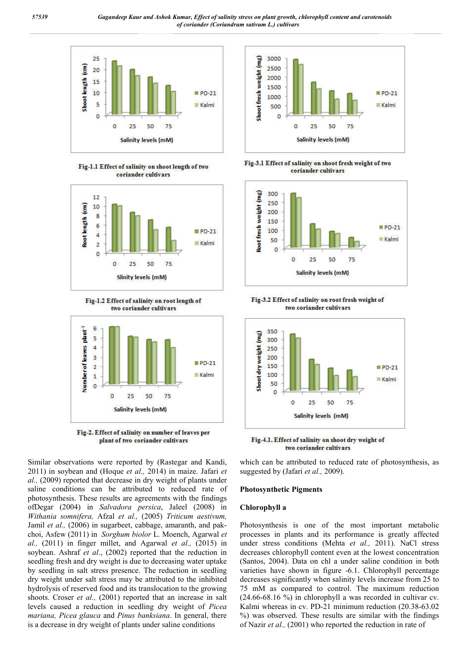

Fig-1.1 Effect of salinity on shoot length of two coriander cultivars



Fig-1.2 Effect of salinity on root length of two coriander cultivars



Fig-2. Effect of salinity on number of leaves per plant of two coriander cultivars

Similar observations were reported by (Rastegar and Kandi, 2011) in soybean and (Hoque *et al.,* 2014) in maize. Jafari *et al.,* (2009) reported that decrease in dry weight of plants under saline conditions can be attributed to reduced rate of photosynthesis. These results are agreements with the findings ofDegar (2004) in *Salvadora persica*, Jaleel (2008) in *Withania somnifera,* Afzal *et al.,* (2005) *Triticum aestivum,* Jamil *et al.,* (2006) in sugarbeet, cabbage, amaranth, and pakchoi, Asfew (2011) in *Sorghum biolor* L. Moench, Agarwal *et al.,* (2011) in finger millet, and Agarwal *et al.,* (2015) in soybean. Ashraf *et al*., (2002) reported that the reduction in seedling fresh and dry weight is due to decreasing water uptake by seedling in salt stress presence. The reduction in seedling dry weight under salt stress may be attributed to the inhibited hydrolysis of reserved food and its translocation to the growing shoots. Croser *et al.,* (2001) reported that an increase in salt levels caused a reduction in seedling dry weight of *Picea mariana, Picea glauca* and *Pinus banksiana*. In general, there is a decrease in dry weight of plants under saline conditions



Fig-3.1 Effect of salinity on shoot fresh weight of two coriander cultivars



Fig-3.2 Effect of salinity on root fresh weight of two coriander cultivars



Fig-4.1. Effect of salinity on shoot dry weight of two coriander cultivars

which can be attributed to reduced rate of photosynthesis, as suggested by (Jafari *et al.,* 2009).

#### **Photosynthetic Pigments**

#### **Chlorophyll a**

Photosynthesis is one of the most important metabolic processes in plants and its performance is greatly affected under stress conditions (Mehta *et al.,* 2011). NaCl stress decreases chlorophyll content even at the lowest concentration (Santos, 2004). Data on chl a under saline condition in both varieties have shown in figure -6.1. Chlorophyll percentage decreases significantly when salinity levels increase from 25 to 75 mM as compared to control. The maximum reduction (24.66-68.16 %) in chlorophyll a was recorded in cultivar cv. Kalmi whereas in cv. PD-21 minimum reduction (20.38-63.02 %) was observed. These results are similar with the findings of Nazir *et al.,* (2001) who reported the reduction in rate of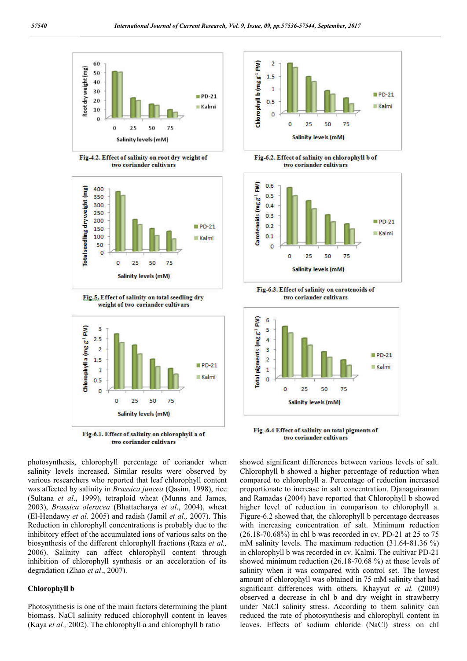

Fig-4.2. Effect of salinity on root dry weight of two coriander cultivars







Fig-6.1. Effect of salinity on chlorophyll a of two coriander cultivars

photosynthesis, chlorophyll percentage of coriander when salinity levels increased. Similar results were observed by various researchers who reported that leaf chlorophyll content was affected by salinity in *Brassica juncea* (Qasim, 1998), rice (Sultana *et al*., 1999), tetraploid wheat (Munns and James, 2003), *Brassica oleracea* (Bhattacharya *et al*., 2004), wheat (El-Hendawy *et al.* 2005) and radish (Jamil *et al.,* 2007). This Reduction in chlorophyll concentrations is probably due to the inhibitory effect of the accumulated ions of various salts on the biosynthesis of the different chlorophyll fractions (Raza *et al.,* 2006). Salinity can affect chlorophyll content through inhibition of chlorophyll synthesis or an acceleration of its degradation (Zhao *et al*., 2007).

#### **Chlorophyll b**

Photosynthesis is one of the main factors determining the plant biomass. NaCl salinity reduced chlorophyll content in leaves (Kaya *et al.,* 2002). The chlorophyll a and chlorophyll b ratio



Fig-6.2. Effect of salinity on chlorophyll b of two coriander cultivars



Fig-6.3. Effect of salinity on carotenoids of two coriander cultivars



Fig -6.4 Effect of salinity on total pigments of two coriander cultivars

showed significant differences between various levels of salt. Chlorophyll b showed a higher percentage of reduction when compared to chlorophyll a. Percentage of reduction increased proportionate to increase in salt concentration. Djanaguiraman and Ramadas (2004) have reported that Chlorophyll b showed higher level of reduction in comparison to chlorophyll a. Figure-6.2 showed that, the chlorophyll b percentage decreases with increasing concentration of salt. Minimum reduction (26.18-70.68%) in chl b was recorded in cv. PD-21 at 25 to 75 mM salinity levels. The maximum reduction (31.64-81.36 %) in chlorophyll b was recorded in cv. Kalmi. The cultivar PD-21 showed minimum reduction (26.18-70.68 %) at these levels of salinity when it was compared with control set. The lowest amount of chlorophyll was obtained in 75 mM salinity that had significant differences with others. Khayyat *et al.* (2009) observed a decrease in chl b and dry weight in strawberry under NaCl salinity stress. According to them salinity can reduced the rate of photosynthesis and chlorophyll content in leaves. Effects of sodium chloride (NaCl) stress on chl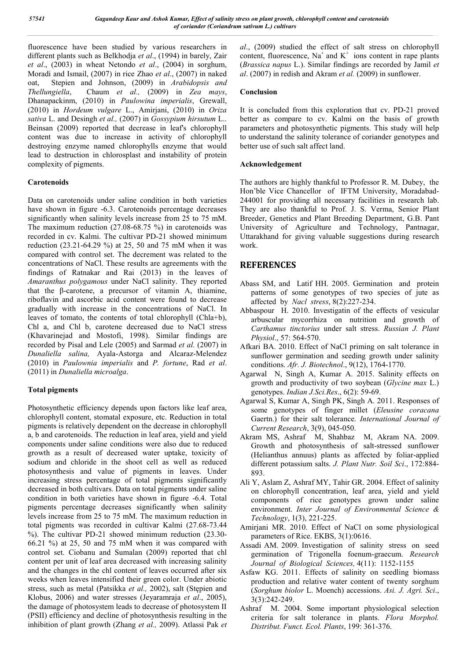fluorescence have been studied by various researchers in different plants such as Belkhodja *et al*., (1994) in barely, Zair *et al*., (2003) in wheat Netondo *et al*., (2004) in sorghum, Moradi and Ismail, (2007) in rice Zhao *et al*., (2007) in naked oat, Stepien and Johnson, (2009) in *Arabidopsis and Thellungiella*, Chaum *et al.,* (2009) in *Zea mays*, Dhanapackinm, (2010) in *Paulowina imperialis*, Grewall, (2010) in *Hordeum vulgare* L., Amirjani, (2010) in *Oriza sativa* L. and Desingh *et al.,* (2007) in *Gossypium hirsutum* L.. Beinsan (2009) reported that decrease in leaf's chlorophyll content was due to increase in activity of chlorophyll destroying enzyme named chlorophylls enzyme that would lead to destruction in chlorosplast and instability of protein complexity of pigments.

### **Carotenoids**

Data on carotenoids under saline condition in both varieties have shown in figure -6.3. Carotenoids percentage decreases significantly when salinity levels increase from 25 to 75 mM. The maximum reduction (27.08-68.75 %) in carotenoids was recorded in cv. Kalmi. The cultivar PD-21 showed minimum reduction (23.21-64.29 %) at 25, 50 and 75 mM when it was compared with control set. The decrement was related to the concentrations of NaCl. These results are agreements with the findings of Ratnakar and Rai (2013) in the leaves of *Amaranthus polygamous* under NaCl salinity. They reported that the β-carotene, a precursor of vitamin A, thiamine, riboflavin and ascorbic acid content were found to decrease gradually with increase in the concentrations of NaCl. In leaves of tomato, the contents of total chlorophyll (Chla+b), Chl a, and Chl b, carotene decreased due to NaCl stress (Khavarinejad and Mostofi, 1998). Similar findings are recorded by Pisal and Lele (2005) and Sarmad *et al.* (2007) in *Dunaliella salina,* Ayala-Astorga and Alcaraz-Melendez (2010) in *Paulownia imperialis* and *P. fortune*, Rad *et al*. (2011) in *Dunaliella microalga*.

## **Total pigments**

Photosynthetic efficiency depends upon factors like leaf area, chlorophyll content, stomatal exposure, etc. Reduction in total pigments is relatively dependent on the decrease in chlorophyll a, b and carotenoids. The reduction in leaf area, yield and yield components under saline conditions were also due to reduced growth as a result of decreased water uptake, toxicity of sodium and chloride in the shoot cell as well as reduced photosynthesis and value of pigments in leaves. Under increasing stress percentage of total pigments significantly decreased in both cultivars. Data on total pigments under saline condition in both varieties have shown in figure -6.4. Total pigments percentage decreases significantly when salinity levels increase from 25 to 75 mM. The maximum reduction in total pigments was recorded in cultivar Kalmi (27.68-73.44 %). The cultivar PD-21 showed minimum reduction (23.30- 66.21 %) at 25, 50 and 75 mM when it was compared with control set. Ciobanu and Sumalan (2009) reported that chl content per unit of leaf area decreased with increasing salinity and the changes in the chl content of leaves occurred after six weeks when leaves intensified their green color. Under abiotic stress, such as metal (Patsikka *et al.,* 2002), salt (Stępien and Klobus, 2006) and water stresses (Jeyaramraja *et al*., 2005), the damage of photosystem leads to decrease of photosystem II (PSII) efficiency and decline of photosynthesis resulting in the inhibition of plant growth (Zhang *et al.,* 2009). Atlassi Pak *et*  *al*., (2009) studied the effect of salt stress on chlorophyll content, fluorescence,  $Na^+$  and  $K^+$  ions content in rape plants (*Brassica napus* L.). Similar findings are recorded by Jamil *et al*. (2007) in redish and Akram *et al.* (2009) in sunflower.

### **Conclusion**

It is concluded from this exploration that cv. PD-21 proved better as compare to cv. Kalmi on the basis of growth parameters and photosynthetic pigments. This study will help to understand the salinity tolerance of coriander genotypes and better use of such salt affect land.

### **Acknowledgement**

The authors are highly thankful to Professor R. M. Dubey, the Hon'ble Vice Chancellor of IFTM University, Moradabad-244001 for providing all necessary facilities in research lab. They are also thankful to Prof. J. S. Verma, Senior Plant Breeder, Genetics and Plant Breeding Department, G.B. Pant University of Agriculture and Technology, Pantnagar, Uttarakhand for giving valuable suggestions during research work.

## **REFERENCES**

- Abass SM, and Latif HH. 2005. Germination and protein patterns of some genotypes of two species of jute as affected by *Nacl stress*, 8(2):227-234.
- Abbaspour H. 2010. Investigatin of the effects of vesicular arbuscular mycorrhiza on nutrition and growth of *Carthamus tinctorius* under salt stress. *Russian J. Plant Physiol*., 57: 564-570.
- Afkari BA. 2010. Effect of NaCl priming on salt tolerance in sunflower germination and seeding growth under salinity conditions. *Afr. J. Biotechnol*., 9(12), 1764-1770.
- Agarwal N, Singh A, Kumar A. 2015. Salinity effects on growth and productivity of two soybean (*Glycine max* L.) genotypes. *Indian J.Sci.Res*., 6(2): 59-69.
- Agarwal S, Kumar A, Singh PK, Singh A. 2011. Responses of some genotypes of finger millet (*Eleusine coracana*  Gaertn.) for their salt tolerance. *International Journal of Current Research*, 3(9), 045-050.
- Akram MS, Ashraf M, Shahbaz M, Akram NA. 2009. Growth and photosynthesis of salt-stressed sunflower (Helianthus annuus) plants as affected by foliar-applied different potassium salts. *J. Plant Nutr. Soil Sci*., 172:884- 893.
- Ali Y, Aslam Z, Ashraf MY, Tahir GR. 2004. Effect of salinity on chlorophyll concentration, leaf area, yield and yield components of rice genotypes grown under saline environment. *Inter Journal of Environmental Science & Technology*, 1(3), 221-225.
- Amirjani MR. 2010. Effect of NaCl on some physiological parameters of Rice. EKBS, 3(1):0616.
- Assadi AM. 2009. Investigation of salinity stress on seed germination of Trigonella foenum-graecum. *Research Journal of Biological Sciences,* 4(11): 1152-1155
- Asfaw KG. 2011. Effects of salinity on seedling biomass production and relative water content of twenty sorghum (*Sorghum biolor* L. Moench) accessions. *Asi. J. Agri. Sci*., 3(3):242-249.
- Ashraf M. 2004. Some important physiological selection criteria for salt tolerance in plants. *Flora Morphol. Distribut. Funct. Ecol. Plants*, 199: 361-376.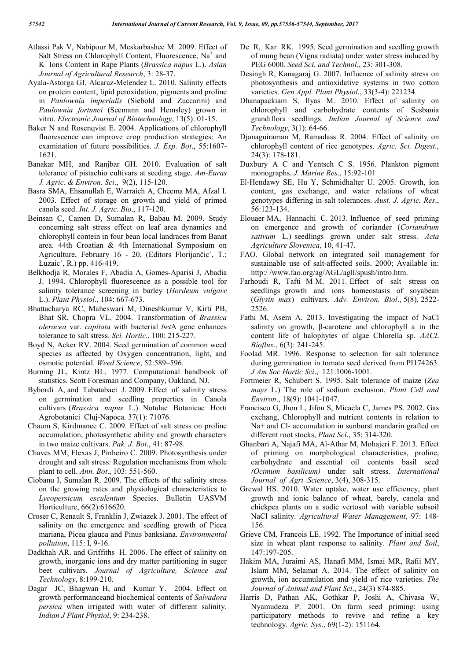- Atlassi Pak V, Nabipour M, Meskarbashee M. 2009. Effect of Salt Stress on Chlorophyll Content, Fluorescence, Na<sup>+</sup> and K+ Ions Content in Rape Plants (*Brassica napus* L.). *Asian Journal of Agricultural Research*, 3: 28-37.
- Ayala-Astorga GI, Alcaraz-Melendez L. 2010. Salinity effects on protein content, lipid peroxidation, pigments and proline in *Paulownia imperialis* (Siebold and Zuccarini) and *Paulownia fortunei* (Seemann and Hemsley) grown in vitro. *Electronic Journal of Biotechnology*, 13(5): 01-15.
- Baker N and Rosenqvist E. 2004. Applications of chlorophyll fluorescence can improve crop production strategies: An examination of future possibilities. *J. Exp. Bot*., 55:1607- 1621.
- Banakar MH, and Ranjbar GH. 2010. Evaluation of salt tolerance of pistachio cultivars at seeding stage. *Am-Euras J. Agric. & Environ. Sci*., 9(2), 115-120.
- Basra SMA, Ehsanullah E, Warraich A, Cheema MA, Afzal I. 2003. Effect of storage on growth and yield of primed canola seed. *Int. J. Agric. Bio*., 117-120.
- Beinsan C, Camen D, Sumalan R, Babau M. 2009. Study concerning salt stress effect on leaf area dynamics and chlorophyll contein in four bean local landraces from Banat area. 44th Croatian & 4th International Symposium on Agriculture, February 16 - 20, (Editors Florijančic´, T.; Luzaic´, R.) pp. 416-419.
- Belkhodja R, Morales F, Abadia A, Gomes-Aparisi J, Abadia J. 1994. Chlorophyll fluorescence as a possible tool for salinity tolerance screening in barley (*Hordeum vulgare* L.). *Plant Physiol*., 104: 667-673.
- Bhattacharya RC, Maheswari M, Dineshkumar V, Kirti PB, Bhat SR, Chopra VL. 2004. Transformation of *Brassica oleracea* var. *capitata* with bacterial *bet*A gene enhances tolerance to salt stress. *Sci. Hortic*., 100: 215-227.
- Boyd N, Acker RV. 2004. Seed germination of common weed species as affected by Oxygen concentration, light, and osmotic potential. *Weed Science*, 52:589–596.
- Burning JL, Kintz BL. 1977. Computational handbook of statistics. Scott Foresman and Company, Oakland, NJ.
- Bybordi A, and Tabatabaei J. 2009. Effect of salinity stress on germination and seedling properties in Canola cultivars (*Brassica napus* L.). Notulae Botanicae Horti Agrobotanici Cluj-Napoca. 37(1): 71076.
- Chaum S, Kirdmanee C. 2009. Effect of salt stress on proline accumulation, photosynthetic ability and growth characters in two maize cultivars. *Pak. J. Bot*., 41: 87-98.
- Chaves MM, Flexas J, Pinheiro C. 2009. Photosynthesis under drought and salt stress: Regulation mechanisms from whole plant to cell. *Ann. Bot*., 103: 551-560.
- Ciobanu I, Sumalan R. 2009. The effects of the salinity stress on the growing rates and physiological characteristics to *Lycopersicum esculentum* Species. Bulletin UASVM Horticulture, 66(2):616620.
- Croser C, Renault S, Franklin J, Zwiazek J. 2001. The effect of salinity on the emergence and seedling growth of Picea mariana, Picea glauca and Pinus banksiana. *Environmental pollution*, 115: I, 9-16.
- Dadkhah AR. and Griffiths H. 2006. The effect of salinity on growth, inorganic ions and dry matter partitioning in suger beet cultivars. *Journal of Agriculture, Science and Technology*, 8:199-210.
- Dagar JC, Bhagwan H, and Kumar Y. 2004. Effect on growth performanceand biochemical contents of *Salvadora persica* when irrigated with water of different salinity. *Indian J Plant Physiol*, 9: 234-238.
- De R, Kar RK. 1995. Seed germination and seedling growth of mung bean (Vigna radiata) under water stress induced by PEG 6000. *Seed Sci. and Technol*., 23: 301-308.
- Desingh R, Kanagaraj G. 2007. Influence of salinity stress on photosynthesis and antioxidative systems in two cotton varieties. *Gen Appl. Plant Physiol*., 33(3-4): 221234.
- Dhanapackiam S, Ilyas M. 2010. Effect of salinity on chlorophyll and carbohydrate contents of Sesbania grandiflora seedlings. *Indian Journal of Science and Technology*, 3(1): 64-66.
- Djanaguiraman M, Ramadass R. 2004. Effect of salinity on chlorophyll content of rice genotypes. *Agric. Sci. Digest*., 24(3): 178-181.
- Duxbury A C and Yentsch C S. 1956. Plankton pigment monographs. *J. Marine Res*., 15:92-101
- El-Hendawy SE, Hu Y, Schmidhalter U. 2005. Growth, ion content, gas exchange, and water relations of wheat genotypes differing in salt tolerances. *Aust. J. Agric. Res*., 56:123-134.
- Elouaer MA, Hannachi C. 2013. Influence of seed priming on emergence and growth of coriander (*Coriandrum sativum* L.) seedlings grown under salt stress. *Acta Agriculture Slovenica*, 10, 41-47.
- FAO. Global network on integrated soil management for sustainable use of salt-affected soils. 2000; Available in: http:/ /www.fao.org/ag/AGL/agll/spush/intro.htm.
- Farhoudi R, Tafti M M. 2011. Effect of salt stress on seedlings growth and ions homeostasis of soyabean (*Glysin max*) cultivars. *Adv. Environ. Biol*., 5(8), 2522- 2526.
- Fathi M, Asem A. 2013. Investigating the impact of NaCl salinity on growth, β-carotene and chlorophyll a in the content life of halophytes of algae Chlorella sp. *AACL Bioflux*., 6(3): 241-245.
- Foolad MR. 1996. Response to selection for salt tolerance during germination in tomato seed derived from PI174263. *J Am Soc Hortic Sci*., 121:1006-1001.
- Fortmeier R, Schubert S. 1995. Salt tolerance of maize (*Zea mays* L.) The role of sodium exclusion. *Plant Cell and Environ*., 18(9): 1041-1047.
- Francisco G, Jhon L, Jifon S, Micaela C, James PS. 2002. Gas exchang, Chlorophyll and nutrient contents in relation to Na+ and Cl- accumulation in sunburst mandarin grafted on different root stocks, *Plant Sci*., 35: 314-320.
- Ghanbari A, Najafi MA, Al-Athar M, Mohajeri F. 2013. Effect of priming on morphological characteristics, proline, carbohydrate and essential oil contents basil seed *(Ocimum basilicum)* under salt stress. *International Journal of Agri Science*, 3(4), 308-315.
- Grewal HS. 2010. Water uptake, water use efficiency, plant growth and ionic balance of wheat, barely, canola and chickpea plants on a sodic vertosol with variable subsoil NaCl salinity. *Agricultural Water Management*, 97: 148- 156.
- Grieve CM, Francois LE. 1992. The Importance of initial seed size in wheat plant response to salinity. *Plant and Soil*, 147:197-205.
- Hakim MA, Juraimi AS, Hanafi MM, Ismai MR, Rafii MY, Islam MM, Selamat A. 2014. The effect of salinity on growth, ion accumulation and yield of rice varieties. *The Journal of Animal and Plant Sci*., 24(3) 874-885.
- Harris D, Pathan AK, Gothkar P, Joshi A, Chivasa W, Nyamudeza P. 2001. On farm seed priming: using participatory methods to revive and refine a key technology. *Agric. Sys*., 69(1-2): 151164.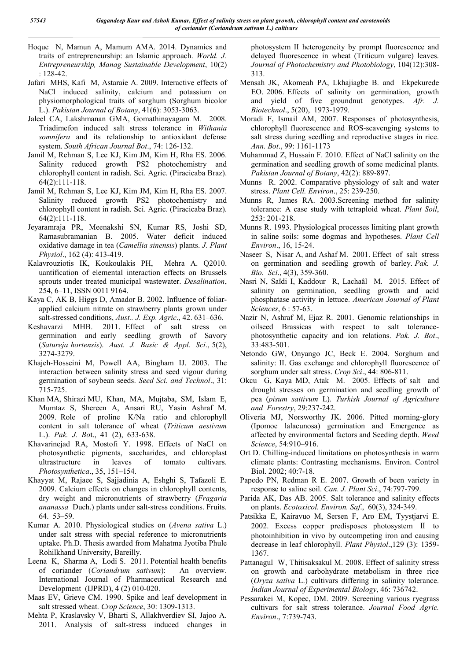- Hoque N, Mamun A, Mamum AMA. 2014. Dynamics and traits of entrepreneurship: an Islamic approach. *World. J. Entrepreneurship, Manag Sustainable Development*, 10(2) : 128-42.
- Jafari MHS, Kafi M, Astaraie A. 2009. Interactive effects of NaCl induced salinity, calcium and potassium on physiomorphological traits of sorghum (Sorghum bicolor L.). *Pakistan Journal of Botany*, 41(6): 3053-3063.
- Jaleel CA, Lakshmanan GMA, Gomathinayagam M. 2008. Triadimefon induced salt stress tolerance in *Withania somnifera* and its relationship to antioxidant defense system. *South African Journal Bot*., 74: 126-132.
- Jamil M, Rehman S, Lee KJ, Kim JM, Kim H, Rha ES. 2006. Salinity reduced growth PS2 photochemistry and chlorophyll content in radish. Sci. Agric. (Piracicaba Braz). 64(2):111-118.
- Jamil M, Rehman S, Lee KJ, Kim JM, Kim H, Rha ES. 2007. Salinity reduced growth PS2 photochemistry and chlorophyll content in radish. Sci. Agric. (Piracicaba Braz). 64(2):111-118.
- Jeyaramraja PR, Meenakshi SN, Kumar RS, Joshi SD, Ramasubramanian B. 2005. Water deficit induced oxidative damage in tea (*Camellia sinensis*) plants. *J. Plant Physiol*., 162 (4): 413-419.
- Kalavrouziotis IK, Koukoulakis PH, Mehra A. Q2010. uantification of elemental interaction effects on Brussels sprouts under treated municipal wastewater. *Desalination*, 254, 6–11, ISSN 0011 9164.
- Kaya C, AK B, Higgs D, Amador B. 2002. Influence of foliarapplied calcium nitrate on strawberry plants grown under salt-stressed conditions, *Aust.. J. Exp. Agric*., 42. 631–636.
- Keshavarzi MHB. 2011. Effect of salt stress on germination and early seedling growth of Savory (*Satureja hortensis*). *Aust. J. Basic & Appl. Sci*., 5(2), 3274-3279.
- Khajeh-Hosseini M, Powell AA, Bingham IJ. 2003. The interaction between salinity stress and seed vigour during germination of soybean seeds. *Seed Sci. and Technol*., 31: 715-725.
- Khan MA, Shirazi MU, Khan, MA, Mujtaba, SM, Islam E, Mumtaz S, Shereen A, Ansari RU, Yasin Ashraf M. 2009. Role of proline K/Na ratio and chlorophyll content in salt tolerance of wheat (*Triticum aestivum* L.). *Pak. J. Bo*t., 41 (2), 633-638.
- Khavarinejad RA, Mostofi Y. 1998. Effects of NaCl on photosynthetic pigments, saccharides, and chloroplast ultrastructure in leaves of tomato cultivars. *Photosynthetica*., 35, 151–154.
- Khayyat M, Rajaee S, Sajjadinia A, Eshghi S, Tafazoli E. 2009. Calcium effects on changes in chlorophyll contents, dry weight and micronutrients of strawberry (*Fragaria ananassa* Duch.) plants under salt-stress conditions. Fruits. 64. 53–59.
- Kumar A. 2010. Physiological studies on (*Avena sativa* L.) under salt stress with special reference to micronutrients uptake. Ph.D. Thesis awarded from Mahatma Jyotiba Phule Rohilkhand University, Bareilly.
- Leena K, Sharma A, Lodi S. 2011. Potential health benefits of coriander (*Coriandrum sativum*): An overview. International Journal of Pharmaceutical Research and Development (IJPRD), 4 (2) 010-020.
- Maas EV, Grieve CM. 1990. Spike and leaf development in salt stressed wheat. *Crop Science*, 30: 1309-1313.
- Mehta P, Kraslavsky V, Bharti S, Allakhverdiev SI, Jajoo A. 2011. Analysis of salt-stress induced changes in

photosystem II heterogeneity by prompt fluorescence and delayed fluorescence in wheat (Triticum vulgare) leaves. *Journal of Photochemistry and Photobiology*, 104(12):308- 313.

- Mensah JK, Akomeah PA, Lkhajiagbe B. and Ekpekurede EO. 2006. Effects of salinity on germination, growth and yield of five groundnut genotypes. *Afr. J. Biotechnol*., 5(20), 1973-1979.
- Moradi F, Ismail AM, 2007. Responses of photosynthesis, chlorophyll fluorescence and ROS-scavenging systems to salt stress during seedling and reproductive stages in rice. *Ann. Bot*., 99: 1161-1173
- Muhammad Z, Hussain F. 2010. Effect of NaCl salinity on the germination and seedling growth of some medicinal plants. *Pakistan Journal of Botany*, 42(2): 889-897.
- Munns R. 2002. Comparative physiology of salt and water stress. *Plant Cell. Environ*., 25: 239-250.
- Munns R, James RA. 2003.Screening method for salinity tolerance: A case study with tetraploid wheat. *Plant Soil*, 253: 201-218.
- Munns R. 1993. Physiological processes limiting plant growth in saline soils: some dogmas and hypotheses. *Plant Cell Environ*., 16, 15-24.
- Naseer S, Nisar A, and Ashaf M. 2001. Effect of salt stress on germination and seedling growth of barley. *Pak. J. Bio. Sci*., 4(3), 359-360.
- Nasri N, Saïdi I, Kaddour R, Lachaâl M. 2015. Effect of salinity on germination, seedling growth and acid phosphatase activity in lettuce. *American Journal of Plant Sciences*, 6 : 57-63.
- Nazir N, Ashraf M, Ejaz R. 2001. Genomic relationships in oilseed Brassicas with respect to salt tolerancephotosynthetic capacity and ion relations. *Pak. J. Bot*., 33:483-501.
- Netondo GW, Onyango JC, Beck E. 2004. Sorghum and salinity: II. Gas exchange and chlorophyll fluorescence of sorghum under salt stress. *Crop Sci*., 44: 806-811.
- Okcu G, Kaya MD, Atak M. 2005. Effects of salt and drought stresses on germination and seedling growth of pea (*pisum sattivum* L). *Turkish Journal of Agriculture and Forestry*, 29:237-242.
- Oliveria MJ, Norsworthy JK. 2006. Pitted morning-glory (Ipomoe lalacunosa) germination and Emergence as affected by environmental factors and Seeding depth. *Weed Science*, 54:910–916.
- Ort D. Chilling-induced limitations on photosynthesis in warm climate plants: Contrasting mechanisms. Environ. Control Biol. 2002; 40:7-18.
- Papedo PN, Redman R E. 2007. Growth of been variety in response to saline soil. *Can. J. Plant Sci*., 74:797-799.
- Parida AK, Das AB. 2005. Salt tolerance and salinity effects on plants. *Ecotoxicol. Environ. Saf*., 60(3), 324-349.
- Patsikka E, Kairavuo M, Sersen F, Aro EM, Tyystjarvi E. 2002. Excess copper predisposes photosystem Ⅱ to photoinhibition in vivo by outcompeting iron and causing decrease in leaf chlorophyll. *Plant Physiol*.,129 (3): 1359- 1367.
- Pattanagul W, Thitisaksakul M. 2008. Effect of salinity stress on growth and carbohydrate metabolism in three rice (*Oryza sativa* L.) cultivars differing in salinity tolerance. *Indian Journal of Experimental Biology*, 46: 736742.
- Pessarakei M, Kopec, DM. 2009. Screening various ryegrass cultivars for salt stress tolerance. *Journal Food Agric. Environ*., 7:739-743.